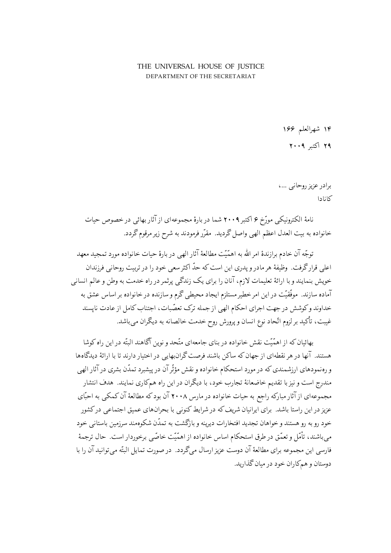## THE UNIVERSAL HOUSE OF JUSTICE DEPARTMENT OF THE SECRETARIAT

۱۴ شهرالعلم ۱۶۶

۲۹ اکتبر ۲۰۰۹

برادر عزیز روحانبی …، كانادا

نامهٔ الکترونیکی مورّخ ۶ اکتبر ۲۰۰۹ شما در بارهٔ مجموعهای از آثار بهائی در خصوص حیات خانواده به بیت العدل اعظم الهی واصل گردید. مقرّر فرمودند به شرح زیر مرقوم گردد.

توجّه آن خادم برازندهٔ امر الله به اهمّیّت مطالعهٔ آثار الهی در بارهٔ حیات خانواده مورد تمجید معهد اعلی قرارگرفت. وظیفهٔ هر مادر و پدری این است که حدّ اکثر سعی خود را در تربیت روحانی فرزندان خویش بنمایند و با ارائهٔ تعلیمات لازم، آنان را برای یک زندگی پرثمر در راه خدمت به وطن و عالم انسانی .<br>آماده سازند. موفّقیّت در این امرخطیرمستلزم ایجاد محیطی گرم و سازنده درخانواده بر اساس عشق به خداوند وکوشش در جهت اجرای احکام الهی از جمله ترک تعصّبات، اجتناب کامل از عادت نایسند غیبت، تأکید بر لزوم اتّحاد نوع انسان و پرورش روح خدمت خالصانه به دیگران می باشد.

بهائیان که از اهمّیّت نقش خانواده در بنای جامعهای متّحد و نوین آگاهند البتّه در این راه کوشا هستند. آنها در هر نقطهای از جهان که ساکن باشند فرصت گران.بهایی در اختیار دارند تا با ارائهٔ دیدگاهها و رەنمودهای ارزشمندی که در مورد استحکام خانواده و نقش مؤثّر آن در پیشبرد تمدّن بشری در آثار الھی مندرج است و نیز با تقدیم خاضعانهٔ تجارب خود، با دیگران در این راه همکاری نمایند. هدف انتشار مجموعهای از آثار مبارکه راجع به حیات خانواده در مارس ۲۰۰۸ آن بود که مطالعهٔ آن کمکی به احبّای عزیز در این راستا باشد. برای ایرانیان شریف که در شرایط کنونی با بحرانهای عمیق اجتماعی درکشور خود رو به رو هستند و خواهان تجدید افتخارات دیرینه و بازگشت به تمدّن شکوهمند سرزمین باستانی خود میباشند، تأمّل و تعمّق در طرق استحکام اساس خانواده از اهمّیّت خاصّی برخوردار است. حال ترجمهٔ فارسی این مجموعه برای مطالعهٔ آن دوست عزیز ارسال مے گردد. در صورت تمایل البتّه می توانید آن را با دوستان و همکاران خود در میان گذارید.